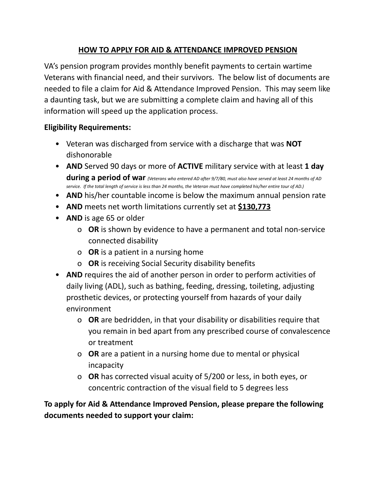## **HOW TO APPLY FOR AID & ATTENDANCE IMPROVED PENSION**

VA's pension program provides monthly benefit payments to certain wartime Veterans with financial need, and their survivors. The below list of documents are needed to file a claim for Aid & Attendance Improved Pension. This may seem like a daunting task, but we are submitting a complete claim and having all of this information will speed up the application process.

## **Eligibility Requirements:**

- Veteran was discharged from service with a discharge that was **NOT** dishonorable
- **AND** Served 90 days or more of **ACTIVE** military service with at least **1 day** during a period of war (Veterans who entered AD after 9/7/80, must also have served at least 24 months of AD service. If the total length of service is less than 24 months, the Veteran must have completed his/her entire tour of AD.)
- **AND** his/her countable income is below the maximum annual pension rate
- **AND** meets net worth limitations currently set at **\$130,773**
- **AND** is age 65 or older
	- o **OR** is shown by evidence to have a permanent and total non-service connected disability
	- o **OR** is a patient in a nursing home
	- o **OR** is receiving Social Security disability benefits
- **AND** requires the aid of another person in order to perform activities of daily living (ADL), such as bathing, feeding, dressing, toileting, adjusting prosthetic devices, or protecting yourself from hazards of your daily environment
	- o **OR** are bedridden, in that your disability or disabilities require that you remain in bed apart from any prescribed course of convalescence or treatment
	- o **OR** are a patient in a nursing home due to mental or physical incapacity
	- o **OR** has corrected visual acuity of 5/200 or less, in both eyes, or concentric contraction of the visual field to 5 degrees less

**To apply for Aid & Attendance Improved Pension, please prepare the following documents needed to support your claim:**